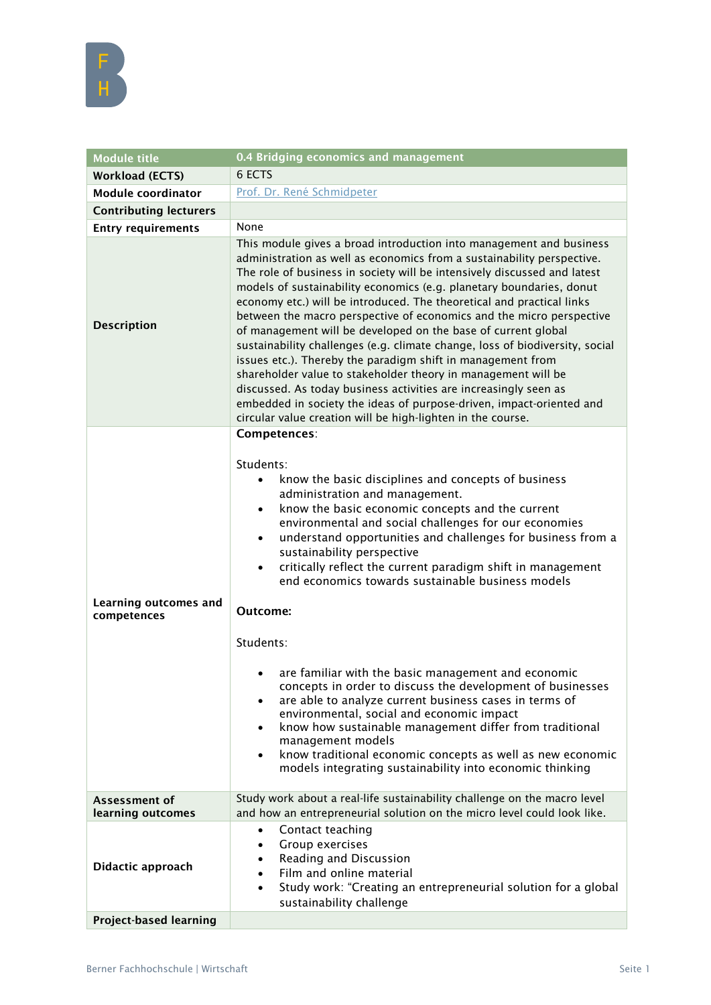

| <b>Module title</b>                  | 0.4 Bridging economics and management                                                                                                                                                                                                                                                                                                                                                                                                                                                                                                                                                                                                                                                                                                                                                                                                                                                                                                                                                              |
|--------------------------------------|----------------------------------------------------------------------------------------------------------------------------------------------------------------------------------------------------------------------------------------------------------------------------------------------------------------------------------------------------------------------------------------------------------------------------------------------------------------------------------------------------------------------------------------------------------------------------------------------------------------------------------------------------------------------------------------------------------------------------------------------------------------------------------------------------------------------------------------------------------------------------------------------------------------------------------------------------------------------------------------------------|
| <b>Workload (ECTS)</b>               | 6 ECTS                                                                                                                                                                                                                                                                                                                                                                                                                                                                                                                                                                                                                                                                                                                                                                                                                                                                                                                                                                                             |
| Module coordinator                   | Prof. Dr. René Schmidpeter                                                                                                                                                                                                                                                                                                                                                                                                                                                                                                                                                                                                                                                                                                                                                                                                                                                                                                                                                                         |
| <b>Contributing lecturers</b>        |                                                                                                                                                                                                                                                                                                                                                                                                                                                                                                                                                                                                                                                                                                                                                                                                                                                                                                                                                                                                    |
| <b>Entry requirements</b>            | None                                                                                                                                                                                                                                                                                                                                                                                                                                                                                                                                                                                                                                                                                                                                                                                                                                                                                                                                                                                               |
| <b>Description</b>                   | This module gives a broad introduction into management and business<br>administration as well as economics from a sustainability perspective.<br>The role of business in society will be intensively discussed and latest<br>models of sustainability economics (e.g. planetary boundaries, donut<br>economy etc.) will be introduced. The theoretical and practical links<br>between the macro perspective of economics and the micro perspective<br>of management will be developed on the base of current global<br>sustainability challenges (e.g. climate change, loss of biodiversity, social<br>issues etc.). Thereby the paradigm shift in management from<br>shareholder value to stakeholder theory in management will be<br>discussed. As today business activities are increasingly seen as<br>embedded in society the ideas of purpose-driven, impact-oriented and<br>circular value creation will be high-lighten in the course.                                                     |
| Learning outcomes and<br>competences | Competences:<br>Students:<br>know the basic disciplines and concepts of business<br>$\bullet$<br>administration and management.<br>know the basic economic concepts and the current<br>$\bullet$<br>environmental and social challenges for our economies<br>understand opportunities and challenges for business from a<br>$\bullet$<br>sustainability perspective<br>critically reflect the current paradigm shift in management<br>$\bullet$<br>end economics towards sustainable business models<br>Outcome:<br>Students:<br>are familiar with the basic management and economic<br>$\bullet$<br>concepts in order to discuss the development of businesses<br>are able to analyze current business cases in terms of<br>٠<br>environmental, social and economic impact<br>know how sustainable management differ from traditional<br>management models<br>know traditional economic concepts as well as new economic<br>$\bullet$<br>models integrating sustainability into economic thinking |
| Assessment of<br>learning outcomes   | Study work about a real-life sustainability challenge on the macro level<br>and how an entrepreneurial solution on the micro level could look like.                                                                                                                                                                                                                                                                                                                                                                                                                                                                                                                                                                                                                                                                                                                                                                                                                                                |
| Didactic approach                    | Contact teaching<br>٠<br>Group exercises<br>$\bullet$<br>Reading and Discussion<br>$\bullet$<br>Film and online material<br>$\bullet$<br>Study work: "Creating an entrepreneurial solution for a global<br>$\bullet$<br>sustainability challenge                                                                                                                                                                                                                                                                                                                                                                                                                                                                                                                                                                                                                                                                                                                                                   |
| <b>Project-based learning</b>        |                                                                                                                                                                                                                                                                                                                                                                                                                                                                                                                                                                                                                                                                                                                                                                                                                                                                                                                                                                                                    |